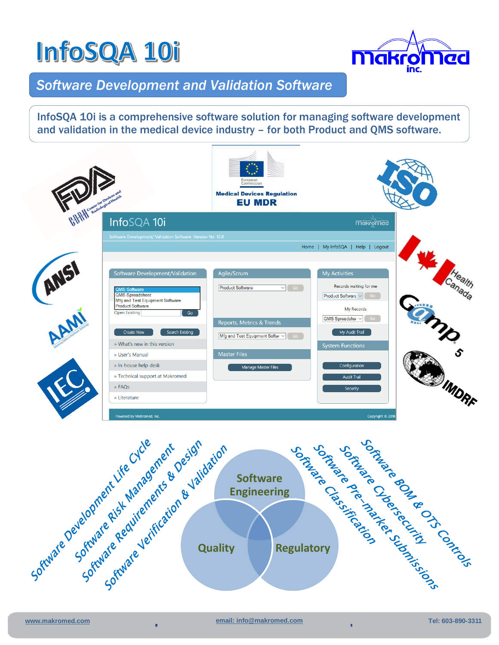## **InfoSQA 10i**



### *Software Development and Validation Software*

InfoSQA 10i is a comprehensive software solution for managing software development and validation in the medical device industry – for both Product and QMS software.



**Quality Regulatory**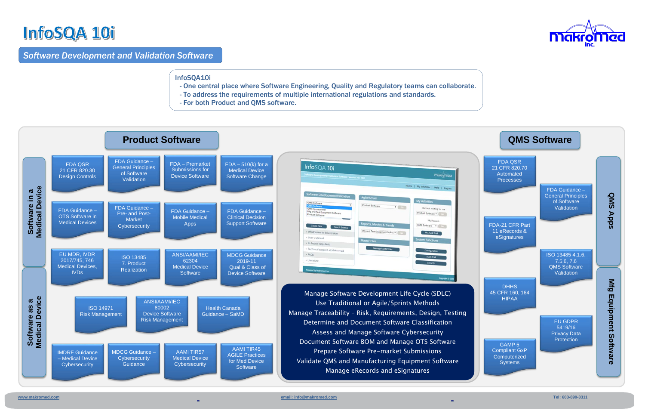

## InfoSQA 10i

#### *Software Development and Validation Software*

- One central place where Software Engineering, Quality and Regulatory teams can collaborate.

 $\overline{a}$ 

 $\overline{a}$ 

- To address the requirements of multiple international regulations and standards.
- For both Product and QMS software.





InfoSQA10i